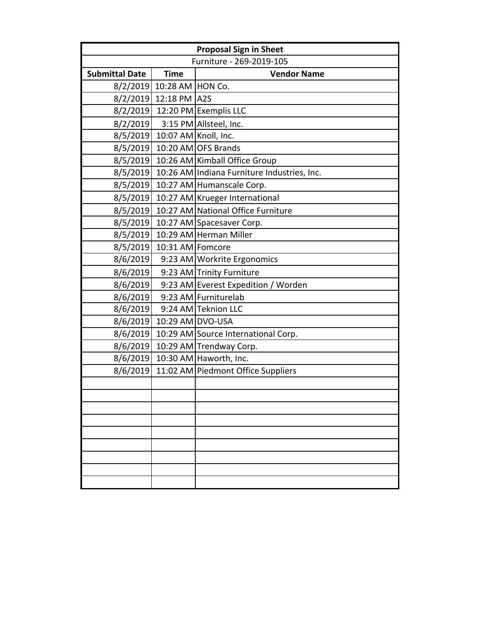| <b>Proposal Sign in Sheet</b> |                           |                                             |  |  |  |
|-------------------------------|---------------------------|---------------------------------------------|--|--|--|
| Furniture - 269-2019-105      |                           |                                             |  |  |  |
| <b>Submittal Date</b>         | <b>Time</b>               | <b>Vendor Name</b>                          |  |  |  |
|                               | 8/2/2019 10:28 AM HON Co. |                                             |  |  |  |
|                               | 8/2/2019 12:18 PM A2S     |                                             |  |  |  |
| 8/2/2019                      |                           | 12:20 PM Exemplis LLC                       |  |  |  |
| 8/2/2019                      |                           | 3:15 PM Allsteel, Inc.                      |  |  |  |
| 8/5/2019                      |                           | 10:07 AM Knoll, Inc.                        |  |  |  |
| 8/5/2019                      |                           | 10:20 AM OFS Brands                         |  |  |  |
| 8/5/2019                      |                           | 10:26 AM Kimball Office Group               |  |  |  |
| 8/5/2019                      |                           | 10:26 AM Indiana Furniture Industries, Inc. |  |  |  |
| 8/5/2019                      |                           | 10:27 AM Humanscale Corp.                   |  |  |  |
| 8/5/2019                      |                           | 10:27 AM Krueger International              |  |  |  |
| 8/5/2019                      |                           | 10:27 AM National Office Furniture          |  |  |  |
| 8/5/2019                      |                           | 10:27 AM Spacesaver Corp.                   |  |  |  |
| 8/5/2019                      |                           | 10:29 AM Herman Miller                      |  |  |  |
| 8/5/2019                      | 10:31 AM Fomcore          |                                             |  |  |  |
| 8/6/2019                      |                           | 9:23 AM Workrite Ergonomics                 |  |  |  |
| 8/6/2019                      |                           | 9:23 AM Trinity Furniture                   |  |  |  |
| 8/6/2019                      |                           | 9:23 AM Everest Expedition / Worden         |  |  |  |
| 8/6/2019                      |                           | 9:23 AM Furniturelab                        |  |  |  |
| 8/6/2019                      |                           | 9:24 AM Teknion LLC                         |  |  |  |
| 8/6/2019                      |                           | 10:29 AM DVO-USA                            |  |  |  |
| 8/6/2019                      |                           | 10:29 AM Source International Corp.         |  |  |  |
| 8/6/2019                      |                           | 10:29 AM Trendway Corp.                     |  |  |  |
| 8/6/2019                      |                           | 10:30 AM Haworth, Inc.                      |  |  |  |
| 8/6/2019                      |                           | 11:02 AM Piedmont Office Suppliers          |  |  |  |
|                               |                           |                                             |  |  |  |
|                               |                           |                                             |  |  |  |
|                               |                           |                                             |  |  |  |
|                               |                           |                                             |  |  |  |
|                               |                           |                                             |  |  |  |
|                               |                           |                                             |  |  |  |
|                               |                           |                                             |  |  |  |
|                               |                           |                                             |  |  |  |
|                               |                           |                                             |  |  |  |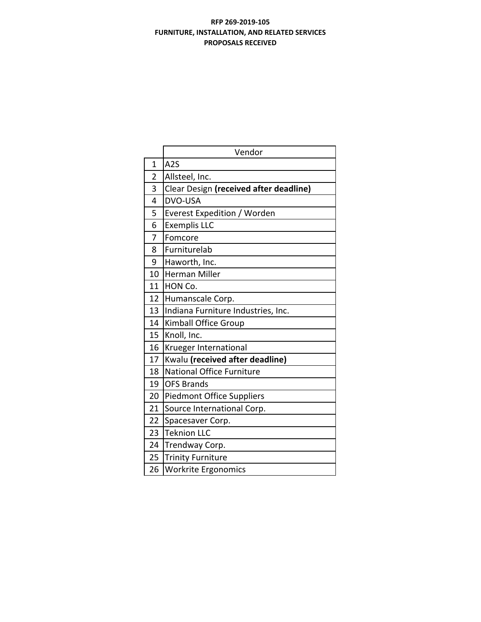# **RFP 269‐2019‐105 FURNITURE, INSTALLATION, AND RELATED SERVICES PROPOSALS RECEIVED**

|                | Vendor                                 |  |  |  |  |
|----------------|----------------------------------------|--|--|--|--|
| 1              | A <sub>2</sub> S                       |  |  |  |  |
| $\overline{2}$ | Allsteel, Inc.                         |  |  |  |  |
| 3              | Clear Design (received after deadline) |  |  |  |  |
| 4              | <b>DVO-USA</b>                         |  |  |  |  |
| 5              | <b>Everest Expedition / Worden</b>     |  |  |  |  |
| 6              | <b>Exemplis LLC</b>                    |  |  |  |  |
| 7              | Fomcore                                |  |  |  |  |
| 8              | Furniturelab                           |  |  |  |  |
| 9              | Haworth, Inc.                          |  |  |  |  |
| 10             | <b>Herman Miller</b>                   |  |  |  |  |
| 11             | HON Co.                                |  |  |  |  |
| 12             | Humanscale Corp.                       |  |  |  |  |
| 13             | Indiana Furniture Industries, Inc.     |  |  |  |  |
| 14             | <b>Kimball Office Group</b>            |  |  |  |  |
| 15             | Knoll, Inc.                            |  |  |  |  |
| 16             | Krueger International                  |  |  |  |  |
| 17             | Kwalu (received after deadline)        |  |  |  |  |
| 18             | <b>National Office Furniture</b>       |  |  |  |  |
| 19             | <b>OFS Brands</b>                      |  |  |  |  |
| 20             | <b>Piedmont Office Suppliers</b>       |  |  |  |  |
| 21             | Source International Corp.             |  |  |  |  |
| 22             | Spacesaver Corp.                       |  |  |  |  |
| 23             | <b>Teknion LLC</b>                     |  |  |  |  |
| 24             | Trendway Corp.                         |  |  |  |  |
| 25             | <b>Trinity Furniture</b>               |  |  |  |  |
| 26             | Workrite Ergonomics                    |  |  |  |  |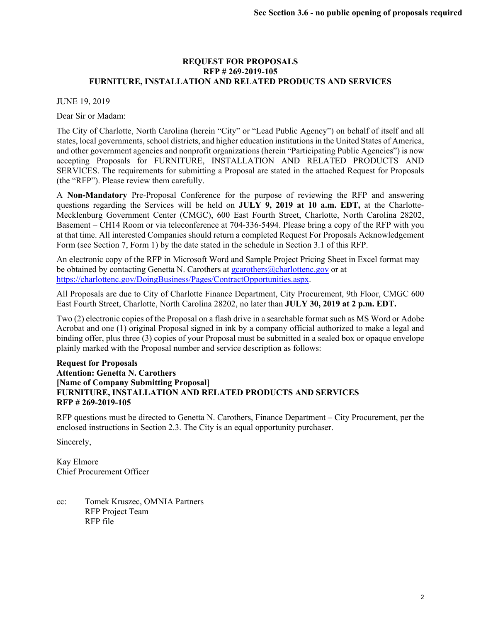### **REQUEST FOR PROPOSALS RFP # 269-2019-105 FURNITURE, INSTALLATION AND RELATED PRODUCTS AND SERVICES**

#### JUNE 19, 2019

Dear Sir or Madam:

The City of Charlotte, North Carolina (herein "City" or "Lead Public Agency") on behalf of itself and all states, local governments, school districts, and higher education institutions in the United States of America, and other government agencies and nonprofit organizations (herein "Participating Public Agencies") is now accepting Proposals for FURNITURE, INSTALLATION AND RELATED PRODUCTS AND SERVICES. The requirements for submitting a Proposal are stated in the attached Request for Proposals (the "RFP"). Please review them carefully.

A **Non-Mandatory** Pre-Proposal Conference for the purpose of reviewing the RFP and answering questions regarding the Services will be held on **JULY 9, 2019 at 10 a.m. EDT,** at the Charlotte-Mecklenburg Government Center (CMGC), 600 East Fourth Street, Charlotte, North Carolina 28202, Basement – CH14 Room or via teleconference at 704-336-5494. Please bring a copy of the RFP with you at that time. All interested Companies should return a completed Request For Proposals Acknowledgement Form (see Section 7, Form 1) by the date stated in the schedule in Section 3.1 of this RFP.

An electronic copy of the RFP in Microsoft Word and Sample Project Pricing Sheet in Excel format may be obtained by contacting Genetta N. Carothers at gcarothers@charlottenc.gov or at https://charlottenc.gov/DoingBusiness/Pages/ContractOpportunities.aspx.

All Proposals are due to City of Charlotte Finance Department, City Procurement, 9th Floor, CMGC 600 East Fourth Street, Charlotte, North Carolina 28202, no later than **JULY 30, 2019 at 2 p.m. EDT.**

Two (2) electronic copies of the Proposal on a flash drive in a searchable format such as MS Word or Adobe Acrobat and one (1) original Proposal signed in ink by a company official authorized to make a legal and binding offer, plus three (3) copies of your Proposal must be submitted in a sealed box or opaque envelope plainly marked with the Proposal number and service description as follows:

### **Request for Proposals Attention: Genetta N. Carothers [Name of Company Submitting Proposal] FURNITURE, INSTALLATION AND RELATED PRODUCTS AND SERVICES RFP # 269-2019-105**

RFP questions must be directed to Genetta N. Carothers, Finance Department – City Procurement, per the enclosed instructions in Section 2.3. The City is an equal opportunity purchaser.

Sincerely,

Kay Elmore Chief Procurement Officer

cc: Tomek Kruszec, OMNIA Partners RFP Project Team RFP file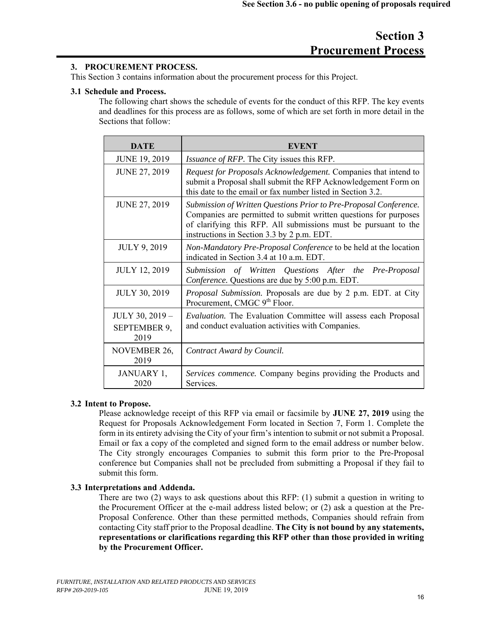# **Section 3 Procurement Process**

# **3. PROCUREMENT PROCESS.**

This Section 3 contains information about the procurement process for this Project.

### **3.1 Schedule and Process.**

The following chart shows the schedule of events for the conduct of this RFP. The key events and deadlines for this process are as follows, some of which are set forth in more detail in the Sections that follow:

| <b>DATE</b>                                    | EVENT                                                                                                                                                                                                                                                  |  |  |
|------------------------------------------------|--------------------------------------------------------------------------------------------------------------------------------------------------------------------------------------------------------------------------------------------------------|--|--|
| <b>JUNE 19, 2019</b>                           | <i>Issuance of RFP.</i> The City issues this RFP.                                                                                                                                                                                                      |  |  |
| <b>JUNE 27, 2019</b>                           | Request for Proposals Acknowledgement. Companies that intend to<br>submit a Proposal shall submit the RFP Acknowledgement Form on<br>this date to the email or fax number listed in Section 3.2.                                                       |  |  |
| <b>JUNE 27, 2019</b>                           | Submission of Written Questions Prior to Pre-Proposal Conference.<br>Companies are permitted to submit written questions for purposes<br>of clarifying this RFP. All submissions must be pursuant to the<br>instructions in Section 3.3 by 2 p.m. EDT. |  |  |
| <b>JULY 9, 2019</b>                            | Non-Mandatory Pre-Proposal Conference to be held at the location<br>indicated in Section 3.4 at 10 a.m. EDT.                                                                                                                                           |  |  |
| <b>JULY 12, 2019</b>                           | Submission of Written Questions After the Pre-Proposal<br>Conference. Questions are due by 5:00 p.m. EDT.                                                                                                                                              |  |  |
| <b>JULY 30, 2019</b>                           | Proposal Submission. Proposals are due by 2 p.m. EDT. at City<br>Procurement, CMGC 9 <sup>th</sup> Floor.                                                                                                                                              |  |  |
| JULY 30, 2019 -<br><b>SEPTEMBER 9,</b><br>2019 | <i>Evaluation</i> . The Evaluation Committee will assess each Proposal<br>and conduct evaluation activities with Companies.                                                                                                                            |  |  |
| <b>NOVEMBER 26,</b><br>2019                    | Contract Award by Council.                                                                                                                                                                                                                             |  |  |
| JANUARY 1,<br>2020                             | Services commence. Company begins providing the Products and<br>Services.                                                                                                                                                                              |  |  |

# **3.2 Intent to Propose.**

Please acknowledge receipt of this RFP via email or facsimile by **JUNE 27, 2019** using the Request for Proposals Acknowledgement Form located in Section 7, Form 1. Complete the form in its entirety advising the City of your firm's intention to submit or not submit a Proposal. Email or fax a copy of the completed and signed form to the email address or number below. The City strongly encourages Companies to submit this form prior to the Pre-Proposal conference but Companies shall not be precluded from submitting a Proposal if they fail to submit this form.

## **3.3 Interpretations and Addenda.**

There are two (2) ways to ask questions about this RFP: (1) submit a question in writing to the Procurement Officer at the e-mail address listed below; or (2) ask a question at the Pre-Proposal Conference. Other than these permitted methods, Companies should refrain from contacting City staff prior to the Proposal deadline. **The City is not bound by any statements, representations or clarifications regarding this RFP other than those provided in writing by the Procurement Officer.**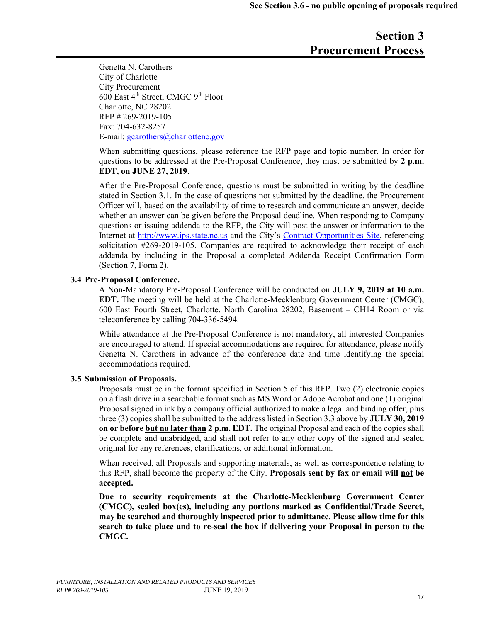# **Section 3 Procurement Process**

Genetta N. Carothers City of Charlotte City Procurement  $600$  East  $4<sup>th</sup>$  Street, CMGC  $9<sup>th</sup>$  Floor Charlotte, NC 28202 RFP # 269-2019-105 Fax: 704-632-8257 E-mail: gcarothers@charlottenc.gov

When submitting questions, please reference the RFP page and topic number. In order for questions to be addressed at the Pre-Proposal Conference, they must be submitted by **2 p.m. EDT, on JUNE 27, 2019**.

After the Pre-Proposal Conference, questions must be submitted in writing by the deadline stated in Section 3.1. In the case of questions not submitted by the deadline, the Procurement Officer will, based on the availability of time to research and communicate an answer, decide whether an answer can be given before the Proposal deadline. When responding to Company questions or issuing addenda to the RFP, the City will post the answer or information to the Internet at http://www.ips.state.nc.us and the City's Contract Opportunities Site, referencing solicitation #269-2019-105. Companies are required to acknowledge their receipt of each addenda by including in the Proposal a completed Addenda Receipt Confirmation Form (Section 7, Form 2).

### **3.4 Pre-Proposal Conference.**

A Non-Mandatory Pre-Proposal Conference will be conducted on **JULY 9, 2019 at 10 a.m. EDT.** The meeting will be held at the Charlotte-Mecklenburg Government Center (CMGC), 600 East Fourth Street, Charlotte, North Carolina 28202, Basement – CH14 Room or via teleconference by calling 704-336-5494.

While attendance at the Pre-Proposal Conference is not mandatory, all interested Companies are encouraged to attend. If special accommodations are required for attendance, please notify Genetta N. Carothers in advance of the conference date and time identifying the special accommodations required.

### **3.5 Submission of Proposals.**

Proposals must be in the format specified in Section 5 of this RFP. Two (2) electronic copies on a flash drive in a searchable format such as MS Word or Adobe Acrobat and one (1) original Proposal signed in ink by a company official authorized to make a legal and binding offer, plus three (3) copies shall be submitted to the address listed in Section 3.3 above by **JULY 30, 2019 on or before but no later than 2 p.m. EDT.** The original Proposal and each of the copies shall be complete and unabridged, and shall not refer to any other copy of the signed and sealed original for any references, clarifications, or additional information.

When received, all Proposals and supporting materials, as well as correspondence relating to this RFP, shall become the property of the City. **Proposals sent by fax or email will not be accepted.** 

**Due to security requirements at the Charlotte-Mecklenburg Government Center (CMGC), sealed box(es), including any portions marked as Confidential/Trade Secret, may be searched and thoroughly inspected prior to admittance. Please allow time for this search to take place and to re-seal the box if delivering your Proposal in person to the CMGC.**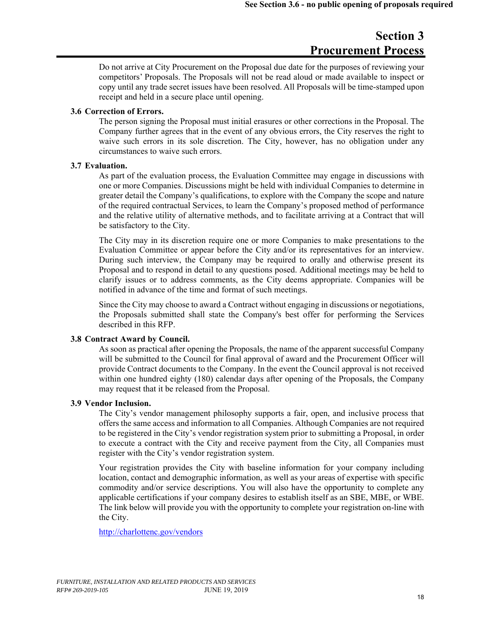# **Section 3 Procurement Process**

Do not arrive at City Procurement on the Proposal due date for the purposes of reviewing your competitors' Proposals. The Proposals will not be read aloud or made available to inspect or copy until any trade secret issues have been resolved. All Proposals will be time-stamped upon receipt and held in a secure place until opening.

### **3.6 Correction of Errors.**

The person signing the Proposal must initial erasures or other corrections in the Proposal. The Company further agrees that in the event of any obvious errors, the City reserves the right to waive such errors in its sole discretion. The City, however, has no obligation under any circumstances to waive such errors.

### **3.7 Evaluation.**

As part of the evaluation process, the Evaluation Committee may engage in discussions with one or more Companies. Discussions might be held with individual Companies to determine in greater detail the Company's qualifications, to explore with the Company the scope and nature of the required contractual Services, to learn the Company's proposed method of performance and the relative utility of alternative methods, and to facilitate arriving at a Contract that will be satisfactory to the City.

The City may in its discretion require one or more Companies to make presentations to the Evaluation Committee or appear before the City and/or its representatives for an interview. During such interview, the Company may be required to orally and otherwise present its Proposal and to respond in detail to any questions posed. Additional meetings may be held to clarify issues or to address comments, as the City deems appropriate. Companies will be notified in advance of the time and format of such meetings.

Since the City may choose to award a Contract without engaging in discussions or negotiations, the Proposals submitted shall state the Company's best offer for performing the Services described in this RFP.

### **3.8 Contract Award by Council.**

As soon as practical after opening the Proposals, the name of the apparent successful Company will be submitted to the Council for final approval of award and the Procurement Officer will provide Contract documents to the Company. In the event the Council approval is not received within one hundred eighty (180) calendar days after opening of the Proposals, the Company may request that it be released from the Proposal.

### **3.9 Vendor Inclusion.**

The City's vendor management philosophy supports a fair, open, and inclusive process that offers the same access and information to all Companies. Although Companies are not required to be registered in the City's vendor registration system prior to submitting a Proposal, in order to execute a contract with the City and receive payment from the City, all Companies must register with the City's vendor registration system.

Your registration provides the City with baseline information for your company including location, contact and demographic information, as well as your areas of expertise with specific commodity and/or service descriptions. You will also have the opportunity to complete any applicable certifications if your company desires to establish itself as an SBE, MBE, or WBE. The link below will provide you with the opportunity to complete your registration on-line with the City.

http://charlottenc.gov/vendors